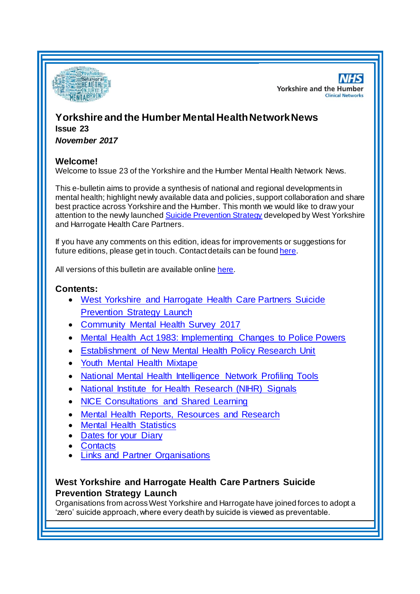

**NHS Yorkshire and the Humber Clinical Networks** 

# **Yorkshire and the Humber Mental HealthNetwork News Issue 23**

*November 2017*

## **Welcome!**

Welcome to Issue 23 of the Yorkshire and the Humber Mental Health Network News.

This e-bulletin aims to provide a synthesis of national and regional developments in mental health; highlight newly available data and policies, support collaboration and share best practice across Yorkshire and the Humber. This month we would like to draw your attention to the newly launche[d Suicide Prevention Strategy](#page-0-0) developed by West Yorkshire and Harrogate Health Care Partners.

If you have any comments on this edition, ideas for improvements or suggestions for future editions, please get in touch. Contact details can be found [here](#page-5-0).

All versions of this bulletin are available onlin[e here](http://www.yhscn.nhs.uk/mental-health-clinic/mental-health-network/MH-documents-and-links.php).

## **Contents:**

- [West Yorkshire and Harrogate Health Care Partners Suicide](#page-0-0)  [Prevention Strategy Launch](#page-0-0)
- [Community Mental Health Survey 2017](#page-1-0)
- [Mental Health Act 1983: Implementing Changes to Police Powers](#page-1-1)
- [Establishment of New Mental Health Policy Research Unit](#page-1-2)
- [Youth Mental Health Mixtape](#page-1-3)
- [National Mental Health Intelligence Network Profiling Tools](#page-0-1)
- [National Institute for Health Research \(NIHR\) Signals](#page-2-0)
- [NICE Consultations and Shared Learning](#page-2-1)
- [Mental Health Reports, Resources and Research](#page-0-1)
- **[Mental Health Statistics](#page-3-0)**
- [Dates for your Diary](#page-3-1)
- **[Contacts](#page-5-0)**
- [Links and Partner Organisations](#page-5-1)

## <span id="page-0-1"></span><span id="page-0-0"></span>**West Yorkshire and Harrogate Health Care Partners Suicide Prevention Strategy Launch**

Organisations from across West Yorkshire and Harrogate have joined forces to adopt a 'zero' suicide approach, where every death by suicide is viewed as preventable.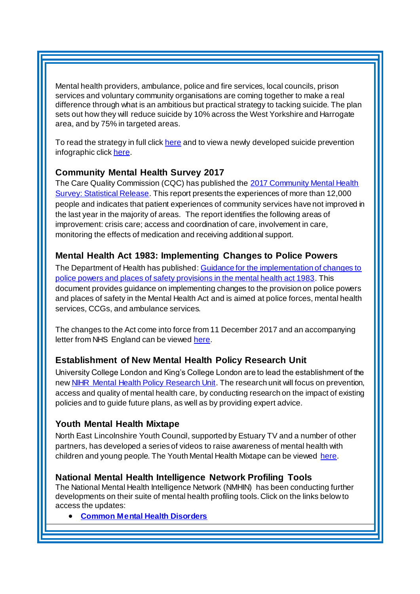Mental health providers, ambulance, police and fire services, local councils, prison services and voluntary community organisations are coming together to make a real difference through what is an ambitious but practical strategy to tacking suicide. The plan sets out how they will reduce suicide by 10% across the West Yorkshire and Harrogate area, and by 75% in targeted areas.

To read the strategy in full clic[k here](http://www.southwestyorkshire.nhs.uk/wp-content/uploads/2017/11/0192-West-Yorkshire-STP-PRINT.pdf) and to view a newly developed suicide prevention infographic clic[k here](http://www.southwestyorkshire.nhs.uk/wp-content/uploads/2017/11/0368-suicide-prevention-infographic.pdf).

## <span id="page-1-0"></span>**Community Mental Health Survey 2017**

The Care Quality Commission (CQC) has published the 2017 Community Mental Health [Survey: Statistical Release.](http://www.cqc.org.uk/publications/surveys/community-mental-health-survey-2017) This report presents the experiences of more than 12,000 people and indicates that patient experiences of community services have not improved in the last year in the majority of areas. The report identifies the following areas of improvement: crisis care; access and coordination of care, involvement in care, monitoring the effects of medication and receiving additional support.

## <span id="page-1-1"></span>**Mental Health Act 1983: Implementing Changes to Police Powers**

The Department of Health has published: [Guidance for the implementation of changes to](https://www.gov.uk/government/publications/mental-health-act-1983-implementing-changes-to-police-powers)  [police powers and places of safety provisions in the mental health act 1983](https://www.gov.uk/government/publications/mental-health-act-1983-implementing-changes-to-police-powers). This document provides guidance on implementing changes to the provision on police powers and places of safety in the Mental Health Act and is aimed at police forces, mental health services, CCGs, and ambulance services.

The changes to the Act come into force from 11 December 2017 and an accompanying letter from NHS England can be viewed [here](http://www.yhscn.nhs.uk/media/PDFs/MH%20North/07203%20NHSE%20NHSI%20letter%20re%20s135%206%20MHA%20changes.pdf).

## <span id="page-1-2"></span>**Establishment of New Mental Health Policy Research Unit**

University College London and King's College London are to lead the establishment of the ne[w NIHR Mental Health Policy Research Unit.](https://www.centreformentalhealth.org.uk/news/research-unit-to-bring-evidence-to-forefront-of-mental-health-policy) The research unit will focus on prevention, access and quality of mental health care, by conducting research on the impact of existing policies and to guide future plans, as well as by providing expert advice.

## <span id="page-1-3"></span>**Youth Mental Health Mixtape**

North East Lincolnshire Youth Council, supported by Estuary TV and a number of other partners, has developed a series of videos to raise awareness of mental health with children and young people. The Youth Mental Health Mixtape can be viewed [here.](https://www.youtube.com/watch?v=hJmAirxijUM&list=PLmN4KRAoq1GHGBn__-EZmlhrKPHRAR9u-&index=5)

## **National Mental Health Intelligence Network Profiling Tools**

The National Mental Health Intelligence Network (NMHIN) has been conducting further developments on their suite of mental health profiling tools. Click on the links below to access the updates:

**[Common Mental Health Disorders](http://links.govdelivery.com/track?type=click&enid=ZWFzPTEmbXNpZD0mYXVpZD0mbWFpbGluZ2lkPTIwMTcxMDA1Ljc5MDY3OTkxJm1lc3NhZ2VpZD1NREItUFJELUJVTC0yMDE3MTAwNS43OTA2Nzk5MSZkYXRhYmFzZWlkPTEwMDEmc2VyaWFsPTE2OTU2NDQyJmVtYWlsaWQ9c2FyYWguYm91bEBuaHMubmV0JnVzZXJpZD1zYXJhaC5ib3VsQG5ocy5uZXQmdGFyZ2V0aWQ9JmZsPSZleHRyYT1NdWx0aXZhcmlhdGVJZD0mJiY=&&&108&&&https://fingertips.phe.org.uk/profile-group/mental-health/profile/common-mental-disorders)**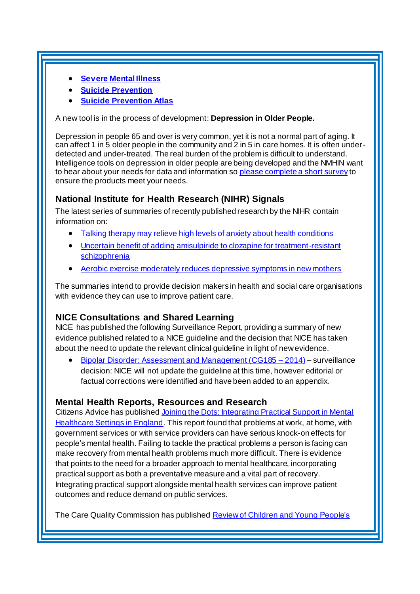- **[Severe Mental Illness](http://links.govdelivery.com/track?type=click&enid=ZWFzPTEmbXNpZD0mYXVpZD0mbWFpbGluZ2lkPTIwMTcxMDA1Ljc5MDY3OTkxJm1lc3NhZ2VpZD1NREItUFJELUJVTC0yMDE3MTAwNS43OTA2Nzk5MSZkYXRhYmFzZWlkPTEwMDEmc2VyaWFsPTE2OTU2NDQyJmVtYWlsaWQ9c2FyYWguYm91bEBuaHMubmV0JnVzZXJpZD1zYXJhaC5ib3VsQG5ocy5uZXQmdGFyZ2V0aWQ9JmZsPSZleHRyYT1NdWx0aXZhcmlhdGVJZD0mJiY=&&&109&&&http://fingertips.phe.org.uk/profile-group/mental-health/profile/severe-mental-illness)**
- **[Suicide Prevention](http://links.govdelivery.com/track?type=click&enid=ZWFzPTEmbXNpZD0mYXVpZD0mbWFpbGluZ2lkPTIwMTcxMDA1Ljc5MDY3OTkxJm1lc3NhZ2VpZD1NREItUFJELUJVTC0yMDE3MTAwNS43OTA2Nzk5MSZkYXRhYmFzZWlkPTEwMDEmc2VyaWFsPTE2OTU2NDQyJmVtYWlsaWQ9c2FyYWguYm91bEBuaHMubmV0JnVzZXJpZD1zYXJhaC5ib3VsQG5ocy5uZXQmdGFyZ2V0aWQ9JmZsPSZleHRyYT1NdWx0aXZhcmlhdGVJZD0mJiY=&&&110&&&http://fingertips.phe.org.uk/profile-group/mental-health/profile/suicide)**
- **[Suicide Prevention Atlas](http://links.govdelivery.com/track?type=click&enid=ZWFzPTEmbXNpZD0mYXVpZD0mbWFpbGluZ2lkPTIwMTcxMDA1Ljc5MDY3OTkxJm1lc3NhZ2VpZD1NREItUFJELUJVTC0yMDE3MTAwNS43OTA2Nzk5MSZkYXRhYmFzZWlkPTEwMDEmc2VyaWFsPTE2OTU2NDQyJmVtYWlsaWQ9c2FyYWguYm91bEBuaHMubmV0JnVzZXJpZD1zYXJhaC5ib3VsQG5ocy5uZXQmdGFyZ2V0aWQ9JmZsPSZleHRyYT1NdWx0aXZhcmlhdGVJZD0mJiY=&&&111&&&https://healthierlives.phe.org.uk/topic/suicide-prevention)**

A new tool is in the process of development: **Depression in Older People.**

Depression in people 65 and over is very common, yet it is not a normal part of aging. It can affect 1 in 5 older people in the community and 2 in 5 in care homes. It is often underdetected and under-treated. The real burden of the problem is difficult to understand. Intelligence tools on depression in older people are being developed and the NMHIN want to hear about your needs for data and information s[o please complete a](http://links.govdelivery.com/track?type=click&enid=ZWFzPTEmbXNpZD0mYXVpZD0mbWFpbGluZ2lkPTIwMTcxMTA3LjgwNDg3NTcxJm1lc3NhZ2VpZD1NREItUFJELUJVTC0yMDE3MTEwNy44MDQ4NzU3MSZkYXRhYmFzZWlkPTEwMDEmc2VyaWFsPTE2OTY0MTUyJmVtYWlsaWQ9c2FyYWguYm91bEBuaHMubmV0JnVzZXJpZD1zYXJhaC5ib3VsQG5ocy5uZXQmdGFyZ2V0aWQ9JmZsPSZleHRyYT1NdWx0aXZhcmlhdGVJZD0mJiY=&&&100&&&https://surveys.phe.org.uk/TakeSurvey.aspx?SurveyID=m65M55l3) short survey to ensure the products meet your needs.

#### <span id="page-2-0"></span>**National Institute for Health Research (NIHR) Signals**

The latest series of summaries of recently published research by the NIHR contain information on:

- [Talking therapy may relieve high levels of anxiety about health conditions](https://discover.dc.nihr.ac.uk/portal/article/4000815/talking-therapy-may-relieve-high-levels-of-anxiety-about-health-conditions)
- [Uncertain benefit of adding amisulpiride to clozapine for treatment-resistant](https://discover.dc.nihr.ac.uk/portal/article/4000833/uncertain-benefit-of-adding-amisulpiride-to-clozapine-for-treatment-resistant-schizophrenia)  **[schizophrenia](https://discover.dc.nihr.ac.uk/portal/article/4000833/uncertain-benefit-of-adding-amisulpiride-to-clozapine-for-treatment-resistant-schizophrenia)**
- [Aerobic exercise moderately reduces depressive symptoms in new mothers](https://discover.dc.nihr.ac.uk/portal/article/4000841/aerobic-exercise-moderately-reduces-depressive-symptoms-in-new-mothers)

The summaries intend to provide decision makers in health and social care organisations with evidence they can use to improve patient care.

## <span id="page-2-1"></span>**NICE Consultations and Shared Learning**

NICE has published the following Surveillance Report, providing a summary of new evidence published related to a NICE guideline and the decision that NICE has taken about the need to update the relevant clinical guideline in light of new evidence.

 [Bipolar Disorder: Assessment and Management \(CG185 –](https://www.nice.org.uk/guidance/cg185/resources/surveillance-report-2017-bipolar-disorder-assessment-and-management-2014-nice-guideline-cg185-4656320608/chapter/Surveillance-decision?tab=evidence) 2014) – surveillance decision: NICE will not update the guideline at this time, however editorial or factual corrections were identified and have been added to an appendix.

## **Mental Health Reports, Resources and Research**

Citizens Advice has published Joining the Dots: Integrating Practical Support in Mental [Healthcare Settings in England.](https://www.citizensadvice.org.uk/about-us/policy/policy-research-topics/health-and-care-policy-research/public-services-policy-research/joining-the-dots-integrating-practical-support-in-mental-healthcare-settings-in-england/) This report found that problems at work, at home, with government services or with service providers can have serious knock-on effects for people's mental health. Failing to tackle the practical problems a person is facing can make recovery from mental health problems much more difficult. There is evidence that points to the need for a broader approach to mental healthcare, incorporating practical support as both a preventative measure and a vital part of recovery. Integrating practical support alongside mental health services can improve patient outcomes and reduce demand on public services.

The Care Quality Commission has published Review of Children and Young People's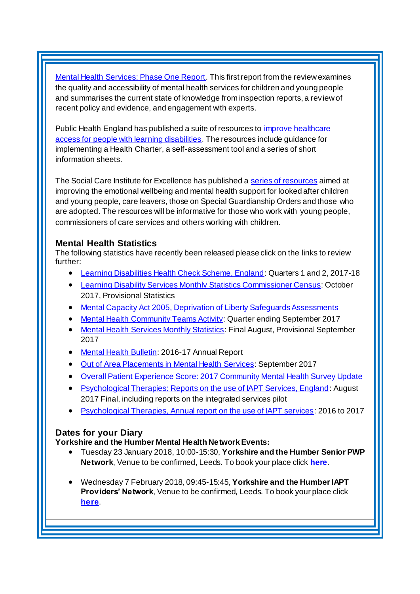[Mental Health Services: Phase One Report](http://www.cqc.org.uk/publications/themed-work/review-children-young-peoples-mental-health-services-phase-one-report). This first report from the review examines the quality and accessibility of mental health services for children and young people and summarises the current state of knowledge from inspection reports, a review of recent policy and evidence, and engagement with experts.

Public Health England has published a suite of resources to [improve healthcare](https://www.gov.uk/government/publications/improving-healthcare-access-for-people-with-learning-disabilities)  [access for people with learning disabilities.](https://www.gov.uk/government/publications/improving-healthcare-access-for-people-with-learning-disabilities) The resources include guidance for implementing a Health Charter, a self-assessment tool and a series of short information sheets.

The Social Care Institute for Excellence has published [a series of resources](https://www.scie.org.uk/children/care/mental-health/) aimed at improving the emotional wellbeing and mental health support for looked after children and young people, care leavers, those on Special Guardianship Orders and those who are adopted. The resources will be informative for those who work with young people, commissioners of care services and others working with children.

## <span id="page-3-0"></span>**Mental Health Statistics**

The following statistics have recently been released please click on the links to review further:

- <span id="page-3-1"></span>[Learning Disabilities Health Check Scheme, England](https://digital.nhs.uk/catalogue/PUB30148): Quarters 1 and 2, 2017-18
- [Learning Disability Services Monthly Statistics Commissioner Census](https://digital.nhs.uk/catalogue/PUB30150): October 2017, Provisional Statistics
- [Mental Capacity Act 2005, Deprivation of Liberty Safeguards Assessments](https://digital.nhs.uk/catalogue/PUB30131)
- [Mental Health Community Teams Activity:](https://www.gov.uk/government/statistics/mental-health-community-teams-activity-for-quarter-ending-september-2017) Quarter ending September 2017
- [Mental Health Services Monthly Statistics](https://www.gov.uk/government/statistics/mental-health-services-monthly-statistics-final-august-provisional-september-2017): Final August, Provisional September 2017
- [Mental Health Bulletin:](http://digital.nhs.uk/catalogue/PUB30160) 2016-17 Annual Report
- [Out of Area Placements in Mental Health Services:](https://www.gov.uk/government/statistics/out-of-area-placements-in-mental-health-services-sep-2017) September 2017
- [Overall Patient Experience Score: 2017 Community Mental Health Survey Update](https://www.gov.uk/government/statistics/overall-patient-experience-score-2017-community-mental-health-survey-update)
- [Psychological Therapies: Reports on the use of IAPT Services, England](https://digital.nhs.uk/catalogue/PUB30153): August 2017 Final, including reports on the integrated services pilot
- [Psychological Therapies, Annual report on the use of IAPT services:](https://digital.nhs.uk/catalogue/PUB30157) 2016 to 2017

#### **Dates for your Diary**

#### **Yorkshire and the Humber Mental Health Network Events:**

- Tuesday 23 January 2018, 10:00-15:30, **Yorkshire and the Humber Senior PWP Network**, Venue to be confirmed, Leeds. To book your place click **[here](https://www.eventbrite.co.uk/e/yorkshire-and-the-humber-senior-pwp-network-tickets-39836631437)**.
- Wednesday 7 February 2018, 09:45-15:45, **Yorkshire and the Humber IAPT Providers' Network**, Venue to be confirmed, Leeds. To book your place click **[here](https://www.eventbrite.co.uk/e/yorkshire-and-the-humber-iapt-providers-network-tickets-39836845076)**.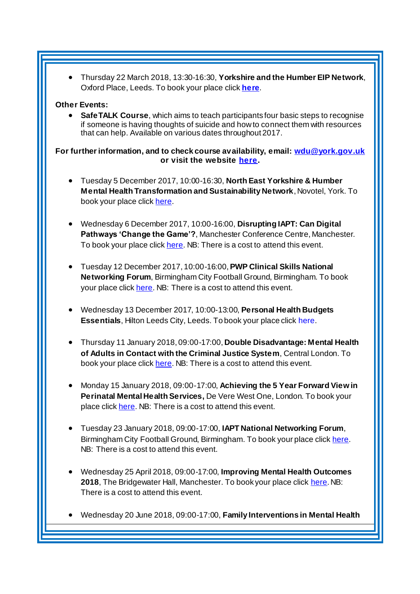Thursday 22 March 2018, 13:30-16:30, **Yorkshire and the Humber EIP Network**, Oxford Place, Leeds. To book your place click **[here](https://www.eventbrite.co.uk/e/yorkshire-and-the-humber-eip-network-tickets-39657862735)**.

#### **Other Events:**

 **SafeTALK Course**, which aims to teach participants four basic steps to recognise if someone is having thoughts of suicide and how to connect them with resources that can help. Available on various dates throughout 2017.

**For further information, and to check course availability, email: [wdu@york.gov.uk](mailto:wdu@york.gov.uk) or visit the websit[e here](http://www.yorkworkforcedevelopment.org.uk/).**

- Tuesday 5 December 2017, 10:00-16:30, **North East Yorkshire & Humber Mental Health Transformation and Sustainability Network**, Novotel, York. To book your place clic[k here.](https://www.eventbrite.co.uk/e/north-east-yorkshire-and-humber-mental-health-transformation-and-sustainability-network-registration-35373145029)
- Wednesday 6 December 2017, 10:00-16:00, **Disrupting IAPT: Can Digital Pathways 'Change the Game'?**, Manchester Conference Centre, Manchester. To book your place clic[k here.](https://www.healthcareconferencesuk.co.uk/event/1292/book) NB: There is a cost to attend this event.
- Tuesday 12 December 2017, 10:00-16:00, **PWP Clinical Skills National Networking Forum**, Birmingham City Football Ground, Birmingham. To book your place clic[k here.](http://www.iapt-nnf.co.uk/booking/index/78/?utm_source=SBK%20Healthcare&utm_medium=email&utm_campaign=8609655_17116PT%201st%20email&dm_i=1SB0,54J93,MCTTTA,JNWLK,1) NB: There is a cost to attend this event.
- Wednesday 13 December 2017, 10:00-13:00, **Personal Health Budgets Essentials**, Hilton Leeds City, Leeds. To book your place clic[k here](https://www.events.england.nhs.uk/events/4760/personal-health-budgets-essentials-leeds).
- Thursday 11 January 2018, 09:00-17:00, **Double Disadvantage: Mental Health of Adults in Contact with the Criminal Justice System**, Central London. To book your place clic[k here.](https://www.publicpolicyexchange.co.uk/book.php?event=IA11-PPE&ss=em&tg=1c) NB: There is a cost to attend this event.
- Monday 15 January 2018, 09:00-17:00, **Achieving the 5 Year Forward View in Perinatal Mental Health Services,** De Vere West One, London. To book your place click [here.](https://www.healthcareconferencesuk.co.uk/event/1081/book) NB: There is a cost to attend this event.
- Tuesday 23 January 2018, 09:00-17:00, **IAPT National Networking Forum**, Birmingham City Football Ground, Birmingham. To book your place clic[k here](http://www.iapt-nnf.co.uk/booking/index/77/?utm_source=SBK%20Healthcare&utm_medium=email&utm_campaign=8639184_1801PT%201st%20email&dm_i=1SB0,5561C,MCTTTA,JQX1K,1). NB: There is a cost to attend this event.
- Wednesday 25 April 2018, 09:00-17:00, **Improving Mental Health Outcomes 2018**, The Bridgewater Hall, Manchester. To book your place clic[k here](https://openforumevents.co.uk/events/2018/improving-mental-health-outcomes-integrating-coordinating-and-transforming-services/?utm_source=OFE+S3.1+MH18+WC+27.11.17+&utm_medium=email&utm_campaign=OFE+S3.1+MH18+WC+27.11.17). NB: There is a cost to attend this event.
- Wednesday 20 June 2018, 09:00-17:00, **Family Interventions in Mental Health**